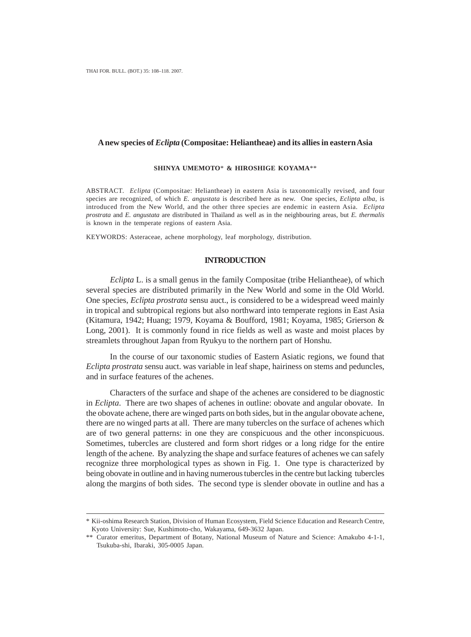## **A new species of** *Eclipta* **(Compositae: Heliantheae) and its allies in eastern Asia**

#### **SHINYA UMEMOTO**\* **& HIROSHIGE KOYAMA**\*\*

ABSTRACT. *Eclipta* (Compositae: Heliantheae) in eastern Asia is taxonomically revised, and four species are recognized, of which *E. angustata* is described here as new. One species, *Eclipta alba,* is introduced from the New World, and the other three species are endemic in eastern Asia. *Eclipta prostrata* and *E. angustata* are distributed in Thailand as well as in the neighbouring areas, but *E. thermalis* is known in the temperate regions of eastern Asia.

KEYWORDS: Asteraceae, achene morphology, leaf morphology, distribution.

### **INTRODUCTION**

*Eclipta* L. is a small genus in the family Compositae (tribe Heliantheae), of which several species are distributed primarily in the New World and some in the Old World. One species, *Eclipta prostrata* sensu auct., is considered to be a widespread weed mainly in tropical and subtropical regions but also northward into temperate regions in East Asia (Kitamura, 1942; Huang; 1979, Koyama & Boufford, 1981; Koyama, 1985; Grierson & Long, 2001). It is commonly found in rice fields as well as waste and moist places by streamlets throughout Japan from Ryukyu to the northern part of Honshu.

In the course of our taxonomic studies of Eastern Asiatic regions, we found that *Eclipta prostrata* sensu auct. was variable in leaf shape, hairiness on stems and peduncles, and in surface features of the achenes.

Characters of the surface and shape of the achenes are considered to be diagnostic in *Eclipta*. There are two shapes of achenes in outline: obovate and angular obovate. In the obovate achene, there are winged parts on both sides, but in the angular obovate achene, there are no winged parts at all. There are many tubercles on the surface of achenes which are of two general patterns: in one they are conspicuous and the other inconspicuous. Sometimes, tubercles are clustered and form short ridges or a long ridge for the entire length of the achene. By analyzing the shape and surface features of achenes we can safely recognize three morphological types as shown in Fig. 1. One type is characterized by being obovate in outline and in having numerous tubercles in the centre but lacking tubercles along the margins of both sides. The second type is slender obovate in outline and has a

<sup>\*</sup> Kii-oshima Research Station, Division of Human Ecosystem, Field Science Education and Research Centre, Kyoto University: Sue, Kushimoto-cho, Wakayama, 649-3632 Japan.

<sup>\*\*</sup> Curator emeritus, Department of Botany, National Museum of Nature and Science: Amakubo 4-1-1, Tsukuba-shi, Ibaraki, 305-0005 Japan.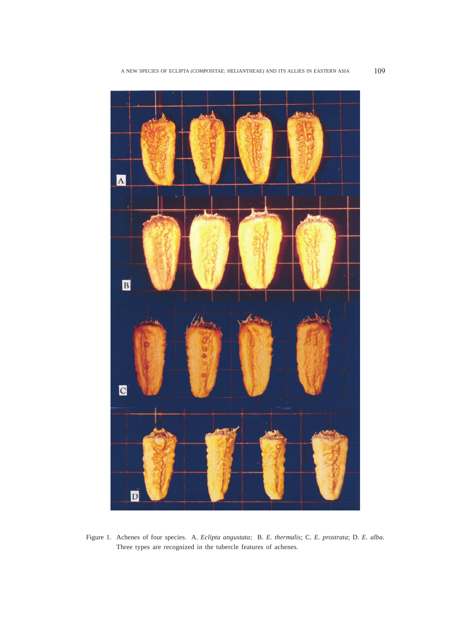

Figure 1. Achenes of four species. A. *Eclipta angustata*; B. *E. thermalis*; C. *E. prostrata*; D. *E. alba*. Three types are recognized in the tubercle features of achenes.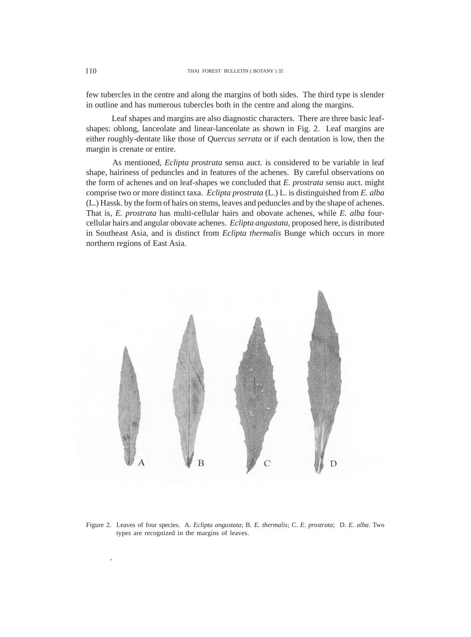few tubercles in the centre and along the margins of both sides. The third type is slender in outline and has numerous tubercles both in the centre and along the margins.

 Leaf shapes and margins are also diagnostic characters. There are three basic leafshapes: oblong, lanceolate and linear-lanceolate as shown in Fig. 2. Leaf margins are either roughly-dentate like those of *Quercus serrata* or if each dentation is low, then the margin is crenate or entire.

 As mentioned, *Eclipta prostrata* sensu auct*.* is considered to be variable in leaf shape, hairiness of peduncles and in features of the achenes. By careful observations on the form of achenes and on leaf-shapes we concluded that *E. prostrata* sensu auct. might comprise two or more distinct taxa. *Eclipta prostrata* (L.) L. is distinguished from *E. alba* (L.) Hassk. by the form of hairs on stems, leaves and peduncles and by the shape of achenes. That is, *E. prostrata* has multi-cellular hairs and obovate achenes, while *E. alba* fourcellular hairs and angular obovate achenes. *Eclipta angustata*, proposed here, is distributed in Southeast Asia, and is distinct from *Eclipta thermalis* Bunge which occurs in more northern regions of East Asia.



Figure 2. Leaves of four species. A. *Eclipta angustata*; B. *E. thermalis*; C. *E. prostrata*; D. *E. alba*. Two types are recognized in the margins of leaves.

.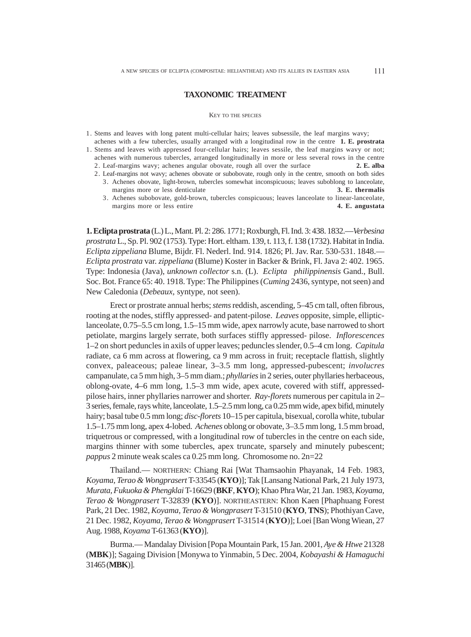#### **TAXONOMIC TREATMENT**

#### KEY TO THE SPECIES

- 1. Stems and leaves with long patent multi-cellular hairs; leaves subsessile, the leaf margins wavy;
- achenes with a few tubercles, usually arranged with a longitudinal row in the centre **1. E. prostrata** 1. Stems and leaves with appressed four-cellular hairs; leaves sessile, the leaf margins wavy or not;
	- achenes with numerous tubercles, arranged longitudinally in more or less several rows in the centre
	- 2. Leaf-margins wavy; achenes angular obovate, rough all over the surface **2. E. alba**
	- 2. Leaf-margins not wavy; achenes obovate or subobovate, rough only in the centre, smooth on both sides
		- 3. Achenes obovate, light-brown, tubercles somewhat inconspicuous; leaves suboblong to lanceolate, margins more or less denticulate **3. E. thermalis**
		- 3. Achenes subobovate, gold-brown, tubercles conspicuous; leaves lanceolate to linear-lanceolate, margins more or less entire **4. E. angustata**

**1. Eclipta prostrata** (L.) L., Mant. Pl. 2: 286. 1771; Roxburgh, Fl. Ind. 3: 438. 1832.—*Verbesina prostrata* L., Sp. Pl. 902 (1753). Type: Hort. eltham. 139, t. 113, f. 138 (1732). Habitat in India. *Eclipta zippeliana* Blume, Bijdr. Fl. Nederl. Ind. 914. 1826; Pl. Jav. Rar. 530-531. 1848.— *Eclipta prostrata* var. *zippeliana* (Blume) Koster in Backer & Brink, Fl. Java 2: 402. 1965. Type: Indonesia (Java), *unknown collector* s.n. (L). *Eclipta philippinensis* Gand., Bull. Soc. Bot. France 65: 40. 1918. Type: The Philippines (*Cuming* 2436, syntype, not seen) and New Caledonia (*Debeaux*, syntype, not seen).

Erect or prostrate annual herbs; *stems* reddish, ascending, 5–45 cm tall, often fibrous, rooting at the nodes, stiffly appressed- and patent-pilose. *Leaves* opposite, simple, ellipticlanceolate, 0.75–5.5 cm long, 1.5–15 mm wide, apex narrowly acute, base narrowed to short petiolate, margins largely serrate, both surfaces stiffly appressed- pilose. *Inflorescences* 1–2 on short peduncles in axils of upper leaves; peduncles slender, 0.5–4 cm long. *Capitula* radiate, ca 6 mm across at flowering, ca 9 mm across in fruit; receptacle flattish, slightly convex, paleaceous; paleae linear, 3–3.5 mm long, appressed-pubescent; *involucres* campanulate, ca 5 mm high, 3–5 mm diam.; *phyllaries* in 2 series, outer phyllaries herbaceous, oblong-ovate, 4–6 mm long, 1.5–3 mm wide, apex acute, covered with stiff, appressedpilose hairs, inner phyllaries narrower and shorter. *Ray-florets* numerous per capitula in 2– 3 series, female, rays white, lanceolate, 1.5–2.5 mm long, ca 0.25 mm wide, apex bifid, minutely hairy; basal tube 0.5 mm long; *disc-florets* 10–15 per capitula, bisexual, corolla white, tubular 1.5–1.75 mm long, apex 4-lobed. *Achenes* oblong or obovate, 3–3.5 mm long, 1.5 mm broad, triquetrous or compressed, with a longitudinal row of tubercles in the centre on each side, margins thinner with some tubercles, apex truncate, sparsely and minutely pubescent; *pappus* 2 minute weak scales ca 0.25 mm long. Chromosome no. 2n=22

Thailand.— NORTHERN: Chiang Rai [Wat Thamsaohin Phayanak, 14 Feb. 1983, *Koyama, Terao & Wongprasert* T-33545 (**KYO**)]; Tak [Lansang National Park, 21 July 1973, *Murata, Fukuoka & Phengklai* T-16629 (**BKF**, **KYO**); Khao Phra War, 21 Jan. 1983, *Koyama, Terao & Wongprasert* T-32839 (**KYO**)]. NORTHEASTERN: Khon Kaen [Phaphuang Forest Park, 21 Dec. 1982, *Koyama, Terao & Wongprasert* T-31510 (**KYO**, **TNS**); Phothiyan Cave, 21 Dec. 1982, *Koyama, Terao & Wongprasert* T-31514 (**KYO**)]; Loei [Ban Wong Wiean, 27 Aug. 1988, *Koyama* T-61363 (**KYO**)].

Burma.— Mandalay Division [Popa Mountain Park, 15 Jan. 2001, *Aye & Htwe* 21328 (**MBK**)]; Sagaing Division [Monywa to Yinmabin, 5 Dec. 2004, *Kobayashi & Hamaguchi* 31465 (**MBK**)].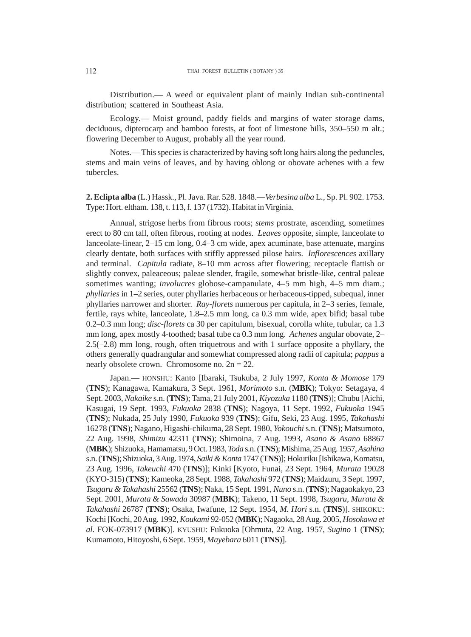Distribution.— A weed or equivalent plant of mainly Indian sub-continental distribution; scattered in Southeast Asia.

Ecology.— Moist ground, paddy fields and margins of water storage dams, deciduous, dipterocarp and bamboo forests, at foot of limestone hills, 350–550 m alt.; flowering December to August, probably all the year round.

Notes.— This species is characterized by having soft long hairs along the peduncles, stems and main veins of leaves, and by having oblong or obovate achenes with a few tubercles.

**2. Eclipta alba** (L.) Hassk., Pl. Java. Rar. 528. 1848.—*Verbesina alba* L., Sp. Pl. 902. 1753. Type: Hort. eltham. 138, t. 113, f. 137 (1732). Habitat in Virginia.

Annual, strigose herbs from fibrous roots; *stems* prostrate, ascending, sometimes erect to 80 cm tall, often fibrous, rooting at nodes. *Leaves* opposite, simple, lanceolate to lanceolate-linear, 2–15 cm long, 0.4–3 cm wide, apex acuminate, base attenuate, margins clearly dentate, both surfaces with stiffly appressed pilose hairs. *Inflorescences* axillary and terminal. *Capitula* radiate, 8–10 mm across after flowering; receptacle flattish or slightly convex, paleaceous; paleae slender, fragile, somewhat bristle-like, central paleae sometimes wanting; *involucres* globose-campanulate, 4–5 mm high, 4–5 mm diam.; *phyllaries* in 1–2 series, outer phyllaries herbaceous or herbaceous-tipped, subequal, inner phyllaries narrower and shorter. *Ray-florets* numerous per capitula, in 2–3 series, female, fertile, rays white, lanceolate, 1.8–2.5 mm long, ca 0.3 mm wide, apex bifid; basal tube 0.2–0.3 mm long; *disc-florets* ca 30 per capitulum, bisexual, corolla white, tubular, ca 1.3 mm long, apex mostly 4-toothed; basal tube ca 0.3 mm long. *Achenes* angular obovate, 2– 2.5(–2.8) mm long, rough, often triquetrous and with 1 surface opposite a phyllary, the others generally quadrangular and somewhat compressed along radii of capitula; *pappus* a nearly obsolete crown. Chromosome no.  $2n = 22$ .

Japan.— HONSHU: Kanto [Ibaraki, Tsukuba, 2 July 1997, *Konta & Momose* 179 (**TNS**); Kanagawa, Kamakura, 3 Sept. 1961, *Morimoto* s.n. (**MBK**); Tokyo: Setagaya, 4 Sept. 2003, *Nakaike* s.n. (**TNS**); Tama, 21 July 2001, *Kiyozuka* 1180 (**TNS**)]; Chubu [Aichi, Kasugai, 19 Sept. 1993, *Fukuoka* 2838 (**TNS**); Nagoya, 11 Sept. 1992, *Fukuoka* 1945 (**TNS**); Nukada, 25 July 1990, *Fukuoka* 939 (**TNS**); Gifu, Seki, 23 Aug. 1995, *Takahashi* 16278 (**TNS**); Nagano, Higashi-chikuma, 28 Sept. 1980, *Yokouchi* s.n. (**TNS**); Matsumoto, 22 Aug. 1998, *Shimizu* 42311 (**TNS**); Shimoina, 7 Aug. 1993, *Asano & Asano* 68867 (**MBK**); Shizuoka, Hamamatsu, 9 Oct. 1983, *Toda* s.n. (**TNS**); Mishima, 25 Aug. 1957, *Asahina* s.n. (**TNS**); Shizuoka, 3 Aug. 1974, *Saiki & Konta* 1747 (**TNS**)]; Hokuriku [Ishikawa, Komatsu, 23 Aug. 1996, *Takeuchi* 470 (**TNS**)]; Kinki [Kyoto, Funai, 23 Sept. 1964, *Murata* 19028 (KYO-315) (**TNS**); Kameoka, 28 Sept. 1988, *Takahashi* 972 (**TNS**); Maidzuru, 3 Sept. 1997, *Tsugaru & Takahashi* 25562 (**TNS**); Naka, 15 Sept. 1991, *Nuno* s.n. (**TNS**); Nagaokakyo, 23 Sept. 2001, *Murata & Sawada* 30987 (**MBK**); Takeno, 11 Sept. 1998, *Tsugaru, Murata & Takahashi* 26787 (**TNS**); Osaka, Iwafune, 12 Sept. 1954, *M. Hori* s.n. (**TNS**)]. SHIKOKU: Kochi [Kochi, 20 Aug. 1992, *Koukami* 92-052 (**MBK**); Nagaoka, 28 Aug. 2005, *Hosokawa et al.* FOK-073917 (**MBK**)]. KYUSHU: Fukuoka [Ohmuta, 22 Aug. 1957, *Sugino* 1 (**TNS**); Kumamoto, Hitoyoshi, 6 Sept. 1959, *Mayebara* 6011 (**TNS**)].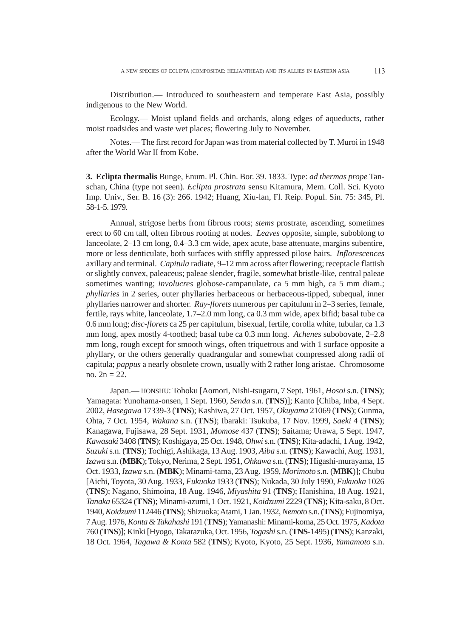Distribution.— Introduced to southeastern and temperate East Asia, possibly indigenous to the New World.

Ecology.— Moist upland fields and orchards, along edges of aqueducts, rather moist roadsides and waste wet places; flowering July to November.

Notes.— The first record for Japan was from material collected by T. Muroi in 1948 after the World War II from Kobe.

**3. Eclipta thermalis** Bunge, Enum. Pl. Chin. Bor. 39. 1833. Type: *ad thermas prope* Tanschan, China (type not seen). *Eclipta prostrata* sensu Kitamura, Mem. Coll. Sci. Kyoto Imp. Univ., Ser. B. 16 (3): 266. 1942; Huang, Xiu-lan, Fl. Reip. Popul. Sin. 75: 345, Pl. 58-1-5. 1979.

Annual, strigose herbs from fibrous roots; *stems* prostrate, ascending, sometimes erect to 60 cm tall, often fibrous rooting at nodes. *Leaves* opposite, simple, suboblong to lanceolate, 2–13 cm long, 0.4–3.3 cm wide, apex acute, base attenuate, margins subentire, more or less denticulate, both surfaces with stiffly appressed pilose hairs. *Inflorescences* axillary and terminal. *Capitula* radiate, 9–12 mm across after flowering; receptacle flattish or slightly convex, paleaceus; paleae slender, fragile, somewhat bristle-like, central paleae sometimes wanting; *involucres* globose-campanulate, ca 5 mm high, ca 5 mm diam.; *phyllaries* in 2 series, outer phyllaries herbaceous or herbaceous-tipped, subequal, inner phyllaries narrower and shorter. *Ray-florets* numerous per capitulum in 2–3 series, female, fertile, rays white, lanceolate, 1.7–2.0 mm long, ca 0.3 mm wide, apex bifid; basal tube ca 0.6 mm long; *disc-florets* ca 25 per capitulum, bisexual, fertile, corolla white, tubular, ca 1.3 mm long, apex mostly 4-toothed; basal tube ca 0.3 mm long. *Achenes* subobovate, 2–2.8 mm long, rough except for smooth wings, often triquetrous and with 1 surface opposite a phyllary, or the others generally quadrangular and somewhat compressed along radii of capitula; *pappus* a nearly obsolete crown, usually with 2 rather long aristae. Chromosome no. 2n = 22.

Japan.— HONSHU: Tohoku [Aomori, Nishi-tsugaru, 7 Sept. 1961, *Hosoi* s.n. (**TNS**); Yamagata: Yunohama-onsen, 1 Sept. 1960, *Senda* s.n. (**TNS**)]; Kanto [Chiba, Inba, 4 Sept. 2002, *Hasegawa* 17339-3 (**TNS**); Kashiwa, 27 Oct. 1957, *Okuyama* 21069 (**TNS**); Gunma, Ohta, 7 Oct. 1954, *Wakana* s.n. (**TNS**); Ibaraki: Tsukuba, 17 Nov. 1999, *Saeki* 4 (**TNS**); Kanagawa, Fujisawa, 28 Sept. 1931, *Momose* 437 (**TNS**); Saitama; Urawa, 5 Sept. 1947, *Kawasaki* 3408 (**TNS**); Koshigaya, 25 Oct. 1948, *Ohwi* s.n. (**TNS**); Kita-adachi, 1 Aug. 1942, *Suzuki* s.n. (**TNS**); Tochigi, Ashikaga, 13 Aug. 1903, *Aiba* s.n. (**TNS**); Kawachi, Aug. 1931, *Izawa* s.n. (**MBK**); Tokyo, Nerima, 2 Sept. 1951, *Ohkawa* s.n. (**TNS**); Higashi-murayama, 15 Oct. 1933, *Izawa* s.n. (**MBK**); Minami-tama, 23 Aug. 1959, *Morimoto* s.n. (**MBK**)]; Chubu [Aichi, Toyota, 30 Aug. 1933, *Fukuoka* 1933 (**TNS**); Nukada, 30 July 1990, *Fukuoka* 1026 (**TNS**); Nagano, Shimoina, 18 Aug. 1946, *Miyashita* 91 (**TNS**); Hanishina, 18 Aug. 1921, *Tanaka* 65324 (**TNS**); Minami-azumi, 1 Oct. 1921, *Koidzumi* 2229 (**TNS**); Kita-saku, 8 Oct. 1940, *Koidzumi* 112446 (**TNS**); Shizuoka; Atami, 1 Jan. 1932, *Nemoto* s.n. (**TNS**); Fujinomiya, 7 Aug. 1976, *Konta & Takahashi* 191 (**TNS**); Yamanashi: Minami-koma, 25 Oct. 1975, *Kadota* 760 (**TNS**)]; Kinki[Hyogo, Takarazuka, Oct. 1956, *Togashi* s.n. (**TNS**-1495) (**TNS**); Kanzaki, 18 Oct. 1964, *Tagawa & Konta* 582 (**TNS**); Kyoto, Kyoto, 25 Sept. 1936, *Yamamoto* s.n.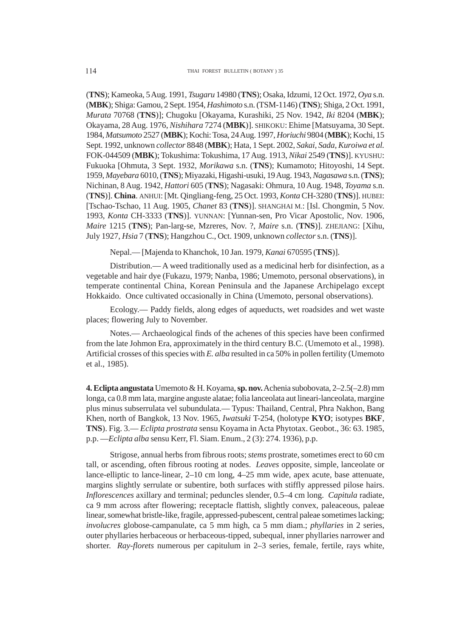(**TNS**); Kameoka, 5 Aug. 1991, *Tsugaru* 14980 (**TNS**); Osaka, Idzumi, 12 Oct. 1972, *Oya* s.n. (**MBK**); Shiga: Gamou, 2 Sept. 1954, *Hashimoto* s.n. (TSM-1146) (**TNS**); Shiga, 2 Oct. 1991, *Murata* 70768 (**TNS**)]; Chugoku [Okayama, Kurashiki, 25 Nov. 1942, *Iki* 8204 (**MBK**); Okayama, 28 Aug. 1976, *Nishihara* 7274 (**MBK**)]. SHIKOKU: Ehime [Matsuyama, 30 Sept. 1984, *Matsumoto* 2527 (**MBK**); Kochi: Tosa, 24 Aug. 1997, *Horiuchi* 9804 (**MBK**); Kochi, 15 Sept. 1992, unknown *collector* 8848 (**MBK**); Hata, 1 Sept. 2002, *Sakai, Sada, Kuroiwa et al.* FOK-044509 (**MBK**); Tokushima: Tokushima, 17 Aug. 1913, *Nikai* 2549 (**TNS**)]. KYUSHU: Fukuoka [Ohmuta, 3 Sept. 1932, *Morikawa* s.n. (**TNS**); Kumamoto; Hitoyoshi, 14 Sept. 1959, *Mayebara* 6010, (**TNS**); Miyazaki, Higashi-usuki, 19 Aug. 1943, *Nagasawa* s.n. (**TNS**); Nichinan, 8 Aug. 1942, *Hattori* 605 (**TNS**); Nagasaki: Ohmura, 10 Aug. 1948, *Toyama* s.n. (**TNS**)]. **China**. ANHUI: [Mt. Qingliang-feng, 25 Oct. 1993, *Konta* CH-3280 (**TNS**)]. HUBEI: [Tschao-Tschao, 11 Aug. 1905, *Chanet* 83 (**TNS**)]. SHANGHAI M.: [Isl. Chongmin, 5 Nov. 1993, *Konta* CH-3333 (**TNS**)]. YUNNAN: [Yunnan-sen, Pro Vicar Apostolic, Nov. 1906, *Maire* 1215 (**TNS**); Pan-larg-se, Mzreres, Nov. ?, *Maire* s.n. (**TNS**)]. ZHEJIANG: [Xihu, July 1927, *Hsia* 7 (**TNS**); Hangzhou C., Oct. 1909, unknown *collector* s.n. (**TNS**)].

Nepal.— [Majenda to Khanchok, 10 Jan. 1979, *Kanai* 670595 (**TNS**)].

Distribution.— A weed traditionally used as a medicinal herb for disinfection, as a vegetable and hair dye (Fukazu, 1979; Nanba, 1986; Umemoto, personal observations), in temperate continental China, Korean Peninsula and the Japanese Archipelago except Hokkaido. Once cultivated occasionally in China (Umemoto, personal observations).

Ecology.— Paddy fields, along edges of aqueducts, wet roadsides and wet waste places; flowering July to November.

Notes.— Archaeological finds of the achenes of this species have been confirmed from the late Johmon Era, approximately in the third century B.C. (Umemoto et al., 1998). Artificial crosses of this species with *E. alba* resulted in ca 50% in pollen fertility (Umemoto et al., 1985).

**4. Eclipta angustata** Umemoto & H. Koyama, **sp. nov.** Achenia subobovata, 2–2.5(–2.8) mm longa, ca 0.8 mm lata, margine anguste alatae; folia lanceolata aut lineari-lanceolata, margine plus minus subserrulata vel subundulata.— Typus: Thailand, Central, Phra Nakhon, Bang Khen, north of Bangkok, 13 Nov. 1965, *Iwatsuki* T-254, (holotype **KYO**; isotypes **BKF**, **TNS**). Fig. 3.— *Eclipta prostrata* sensu Koyama in Acta Phytotax. Geobot., 36: 63. 1985, p.p. —*Eclipta alba* sensu Kerr, Fl. Siam. Enum., 2 (3): 274. 1936), p.p.

Strigose, annual herbs from fibrous roots; *stems* prostrate, sometimes erect to 60 cm tall, or ascending, often fibrous rooting at nodes. *Leaves* opposite, simple, lanceolate or lance-elliptic to lance-linear, 2–10 cm long, 4–25 mm wide, apex acute, base attenuate, margins slightly serrulate or subentire, both surfaces with stiffly appressed pilose hairs. *Inflorescences* axillary and terminal; peduncles slender, 0.5–4 cm long. *Capitula* radiate, ca 9 mm across after flowering; receptacle flattish, slightly convex, paleaceous, paleae linear, somewhat bristle-like, fragile, appressed-pubescent, central paleae sometimes lacking; *involucres* globose-campanulate, ca 5 mm high, ca 5 mm diam.; *phyllaries* in 2 series, outer phyllaries herbaceous or herbaceous-tipped, subequal, inner phyllaries narrower and shorter. *Ray-florets* numerous per capitulum in 2–3 series, female, fertile, rays white,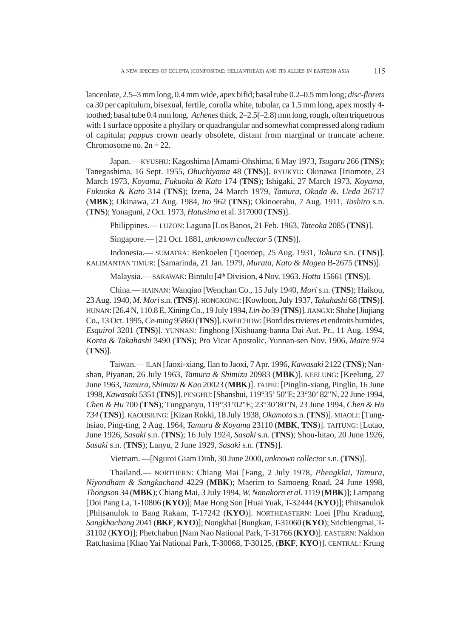lanceolate, 2.5–3 mm long, 0.4 mm wide, apex bifid; basal tube 0.2–0.5 mm long; *disc-florets* ca 30 per capitulum, bisexual, fertile, corolla white, tubular, ca 1.5 mm long, apex mostly 4 toothed; basal tube 0.4 mm long. *Achenes* thick, 2–2.5(–2.8) mm long, rough, often triquetrous with 1 surface opposite a phyllary or quadrangular and somewhat compressed along radium of capitula; *pappus* crown nearly obsolete, distant from marginal or truncate achene. Chromosome no.  $2n = 22$ .

Japan.— KYUSHU: Kagoshima [Amami-Ohshima, 6 May 1973, *Tsugaru* 266 (**TNS**); Tanegashima, 16 Sept. 1955, *Ohuchiyama* 48 (**TNS**)]. RYUKYU: Okinawa [Iriomote, 23 March 1973, *Koyama, Fukuoka & Kato* 174 (**TNS**); Ishigaki, 27 March 1973, *Koyama, Fukuoka & Kato* 314 (**TNS**); Izena, 24 March 1979, *Tamura, Okada &. Ueda* 26717 (**MBK**); Okinawa, 21 Aug. 1984, *Ito* 962 (**TNS**); Okinoerabu, 7 Aug. 1911, *Tashiro* s.n. (**TNS**); Yonaguni, 2 Oct. 1973, *Hatusima* et al. 317000 (**TNS**)].

Philippines.— LUZON: Laguna [Los Banos, 21 Feb. 1963, *Tateoka* 2085 (**TNS**)].

Singapore.— [21 Oct. 1881, *unknown collector* 5 (**TNS**)].

Indonesia.— SUMATRA: Benkoelen [Tjoeroep, 25 Aug. 1931, *Tokura* s.n. (**TNS**)]. KALIMANTAN TIMUR: [Samarinda, 21 Jan. 1979, *Murata, Kato & Mogea* B-2675 (**TNS**)].

Malaysia.— SARAWAK: Bintulu [4th Division, 4 Nov. 1963. *Hotta* 15661 (**TNS**)].

China.— HAINAN: Wanqiao [Wenchan Co., 15 July 1940, *Mori* s.n. (**TNS**); Haikou, 23 Aug. 1940, *M. Mori* s.n. (**TNS**)]. HONGKONG: [Kowloon, July 1937, *Takahashi* 68 (**TNS**)]. HUNAN: [26.4 N, 110.8 E, Xining Co., 19 July 1994, *Lin-bo* 39 (**TNS**)]. JIANGXI: Shahe [Jiujiang Co., 13 Oct. 1995, *Ce-ming* 95860 (**TNS**)]. KWEICHOW: [Bord des rivieres et endroits humides, *Esquirol* 3201 (**TNS**)]. YUNNAN: Jinghong [Xishuang-banna Dai Aut. Pr., 11 Aug. 1994, *Konta & Takahashi* 3490 (**TNS**); Pro Vicar Apostolic, Yunnan-sen Nov. 1906, *Maire* 974 (**TNS**)].

Taiwan.— ILAN [Jaoxi-xiang, Ilan to Jaoxi, 7 Apr. 1996, *Kawasaki* 2122 (**TNS**); Nanshan, Piyanan, 26 July 1963, *Tamura & Shimizu* 20983 (**MBK**)]. KEELUNG: [Keelung, 27 June 1963, *Tamura, Shimizu & Kao* 20023 (**MBK**)]. TAIPEI: [Pinglin-xiang, Pinglin, 16 June 1998, *Kawasaki* 5351 (**TNS**)]. PENGHU: [Shanshui, 119°35' 50"E; 23°30' 82"N, 22 June 1994, *Chen & Hu* 700 (**TNS**); Tungpanyu, 119°31'02"E; 23°30'80"N, 23 June 1994, *Chen & Hu 734* (**TNS**)]. KAOHSIUNG: [Kizan Rokki, 18 July 1938, *Okamoto* s.n. (**TNS**)]. MIAOLI: [Tunghsiao, Ping-ting, 2 Aug. 1964, *Tamura & Koyama* 23110 (**MBK**, **TNS**)]. TAITUNG: [Lutao, June 1926, *Sasaki* s.n. (**TNS**); 16 July 1924, *Sasaki* s.n. (**TNS**); Shou-lutao, 20 June 1926, *Sasaki* s.n. (**TNS**); Lanyu, 2 June 1929, *Sasaki* s.n. (**TNS**)].

Vietnam. —[Nguroi Giam Dinh, 30 June 2000, *unknown collector* s.n. (**TNS**)].

Thailand.— NORTHERN: Chiang Mai [Fang, 2 July 1978, *Phengklai, Tamura, Niyondham & Sangkachand* 4229 (**MBK**); Maerim to Samoeng Road, 24 June 1998, *Thongson* 34 (**MBK**); Chiang Mai, 3 July 1994, *W. Nanakorn et al.* 1119 (**MBK**)]; Lampang [Doi Pang La, T-10806 (**KYO**)]; Mae Hong Son [Huai Yuak, T-32444 (**KYO**)]; Phitsanulok [Phitsanulok to Bang Rakam, T-17242 (**KYO**)]. NORTHEASTERN: Loei [Phu Kradung, *Sangkhachang* 2041 (**BKF**, **KYO**)]; Nongkhai [Bungkan, T-31060 (**KYO**); Srichiengmai, T-31102 (**KYO**)]; Phetchabun [Nam Nao National Park, T-31766 (**KYO**)]. EASTERN: Nakhon Ratchasima [Khao Yai National Park, T-30068, T-30125, (**BKF**, **KYO**)]. CENTRAL: Krung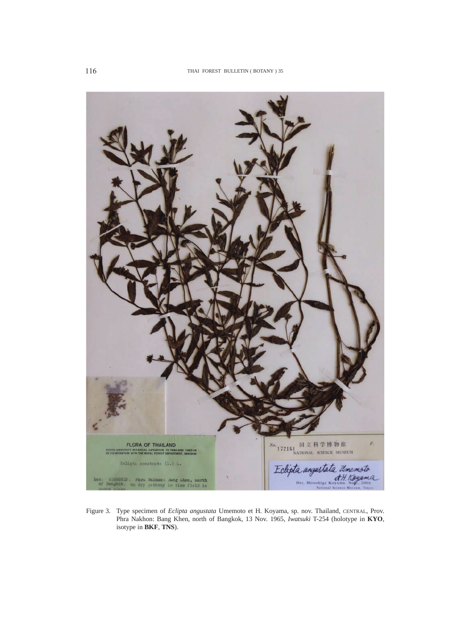

Figure 3. Type specimen of *Eclipta angustata* Umemoto et H. Koyama, sp. nov. Thailand, CENTRAL, Prov. Phra Nakhon: Bang Khen, north of Bangkok, 13 Nov. 1965, *Iwatsuki* T-254 (holotype in **KYO**, isotype in **BKF**, **TNS**).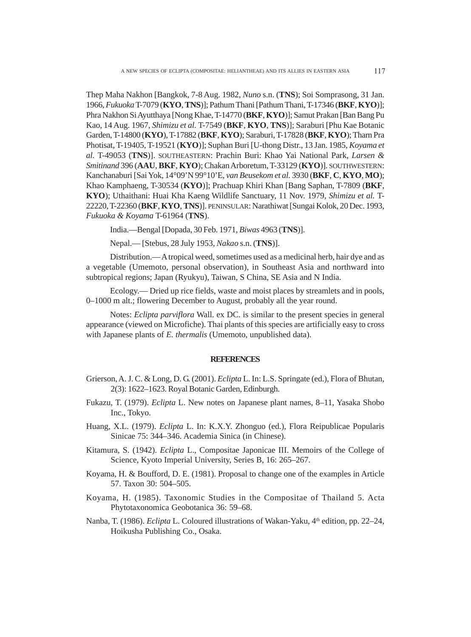Thep Maha Nakhon [Bangkok, 7-8 Aug. 1982, *Nuno* s.n. (**TNS**); Soi Somprasong, 31 Jan. 1966, *Fukuoka* T-7079 (**KYO**, **TNS**)]; Pathum Thani [Pathum Thani, T-17346 (**BKF**, **KYO**)]; Phra Nakhon Si Ayutthaya [Nong Khae, T-14770 (**BKF**, **KYO**)]; Samut Prakan [Ban Bang Pu Kao, 14 Aug. 1967, *Shimizu et al.* T-7549 (**BKF**, **KYO**, **TNS**)]; Saraburi [Phu Kae Botanic Garden, T-14800 (**KYO**), T-17882 (**BKF**, **KYO**); Saraburi, T-17828 (**BKF**, **KYO**); Tharn Pra Photisat, T-19405, T-19521 (**KYO**)]; Suphan Buri [U-thong Distr., 13 Jan. 1985, *Koyama et al.* T-49053 (**TNS**)]. SOUTHEASTERN: Prachin Buri: Khao Yai National Park, *Larsen & Smitinand* 396 (**AAU**, **BKF**, **KYO**); Chakan Arboretum, T-33129 (**KYO**)]. SOUTHWESTERN: Kanchanaburi [Sai Yok, 14°09'N 99°10'E, *van Beusekom et al.* 3930 (**BKF**, **C**, **KYO**, **MO**); Khao Kamphaeng, T-30534 (**KYO**)]; Prachuap Khiri Khan [Bang Saphan, T-7809 (**BKF**, **KYO**); Uthaithani: Huai Kha Kaeng Wildlife Sanctuary, 11 Nov. 1979, *Shimizu et al.* T-22220, T-22360 (**BKF**, **KYO**, **TNS**)]. PENINSULAR: Narathiwat [Sungai Kolok, 20 Dec. 1993, *Fukuoka & Koyama* T-61964 (**TNS**).

India.—Bengal [Dopada, 30 Feb. 1971, *Biwas* 4963 (**TNS**)].

Nepal.— [Stebus, 28 July 1953, *Nakao* s.n. (**TNS**)].

Distribution.— A tropical weed, sometimes used as a medicinal herb, hair dye and as a vegetable (Umemoto, personal observation), in Southeast Asia and northward into subtropical regions; Japan (Ryukyu), Taiwan, S China, SE Asia and N India.

Ecology.— Dried up rice fields, waste and moist places by streamlets and in pools, 0–1000 m alt.; flowering December to August, probably all the year round.

Notes: *Eclipta parviflora* Wall. ex DC. is similar to the present species in general appearance (viewed on Microfiche). Thai plants of this species are artificially easy to cross with Japanese plants of *E. thermalis* (Umemoto, unpublished data).

#### **REFERENCES**

- Grierson, A. J. C. & Long, D. G. (2001). *Eclipta* L. In: L.S. Springate (ed.), Flora of Bhutan, 2(3): 1622–1623. Royal Botanic Garden, Edinburgh.
- Fukazu, T. (1979). *Eclipta* L. New notes on Japanese plant names, 8–11, Yasaka Shobo Inc., Tokyo.
- Huang, X.L. (1979). *Eclipta* L. In: K.X.Y. Zhonguo (ed.), Flora Reipublicae Popularis Sinicae 75: 344–346. Academia Sinica (in Chinese).
- Kitamura, S. (1942). *Eclipta* L., Compositae Japonicae III. Memoirs of the College of Science, Kyoto Imperial University, Series B, 16: 265–267.
- Koyama, H. & Boufford, D. E. (1981). Proposal to change one of the examples in Article 57. Taxon 30: 504–505.
- Koyama, H. (1985). Taxonomic Studies in the Compositae of Thailand 5. Acta Phytotaxonomica Geobotanica 36: 59–68.
- Nanba, T. (1986). *Eclipta* L. Coloured illustrations of Wakan-Yaku, 4<sup>th</sup> edition, pp. 22–24, Hoikusha Publishing Co., Osaka.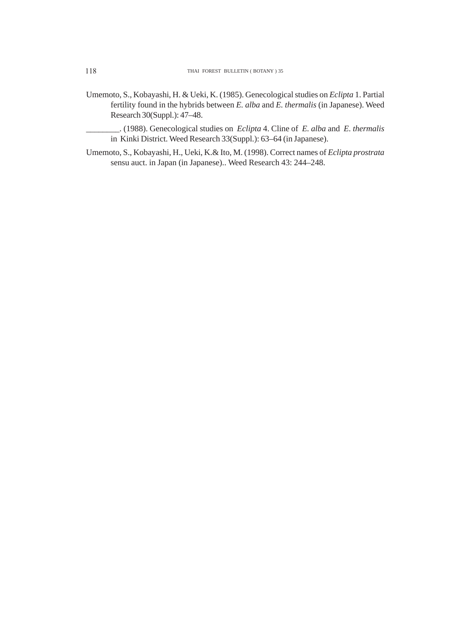- Umemoto, S., Kobayashi, H. & Ueki, K. (1985). Genecological studies on *Eclipta* 1. Partial fertility found in the hybrids between *E. alba* and *E. thermalis* (in Japanese). Weed Research 30(Suppl.): 47–48.
	- \_\_\_\_\_\_\_\_. (1988). Genecological studies on *Eclipta* 4. Cline of *E. alba* and *E. thermalis* in Kinki District. Weed Research 33(Suppl.): 63–64 (in Japanese).
- Umemoto, S., Kobayashi, H., Ueki, K.& Ito, M. (1998). Correct names of *Eclipta prostrata* sensu auct. in Japan (in Japanese).. Weed Research 43: 244–248.